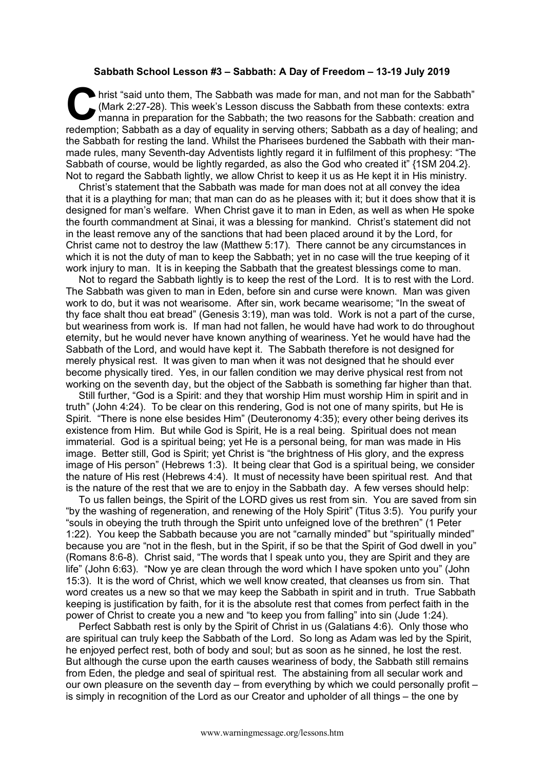## **Sabbath School Lesson #3 – Sabbath: A Day of Freedom – 13-19 July 2019**

hrist "said unto them, The Sabbath was made for man, and not man for the Sabbath"<br>
(Mark 2:27-28). This week's Lesson discuss the Sabbath from these contexts: extra<br>
manna in preparation for the Sabbath; the two reasons fo (Mark 2:27-28). This week's Lesson discuss the Sabbath from these contexts: extra manna in preparation for the Sabbath; the two reasons for the Sabbath: creation and redemption; Sabbath as a day of equality in serving others; Sabbath as a day of healing; and the Sabbath for resting the land. Whilst the Pharisees burdened the Sabbath with their manmade rules, many Seventh-day Adventists lightly regard it in fulfilment of this prophesy: "The Sabbath of course, would be lightly regarded, as also the God who created it" {1SM 204.2}. Not to regard the Sabbath lightly, we allow Christ to keep it us as He kept it in His ministry.

Christ's statement that the Sabbath was made for man does not at all convey the idea that it is a plaything for man; that man can do as he pleases with it; but it does show that it is designed for man's welfare. When Christ gave it to man in Eden, as well as when He spoke the fourth commandment at Sinai, it was a blessing for mankind. Christ's statement did not in the least remove any of the sanctions that had been placed around it by the Lord, for Christ came not to destroy the law (Matthew 5:17). There cannot be any circumstances in which it is not the duty of man to keep the Sabbath; yet in no case will the true keeping of it work injury to man. It is in keeping the Sabbath that the greatest blessings come to man.

Not to regard the Sabbath lightly is to keep the rest of the Lord. It is to rest with the Lord. The Sabbath was given to man in Eden, before sin and curse were known. Man was given work to do, but it was not wearisome. After sin, work became wearisome; "In the sweat of thy face shalt thou eat bread" (Genesis 3:19), man was told. Work is not a part of the curse, but weariness from work is. If man had not fallen, he would have had work to do throughout eternity, but he would never have known anything of weariness. Yet he would have had the Sabbath of the Lord, and would have kept it. The Sabbath therefore is not designed for merely physical rest. It was given to man when it was not designed that he should ever become physically tired. Yes, in our fallen condition we may derive physical rest from not working on the seventh day, but the object of the Sabbath is something far higher than that.

Still further, "God is a Spirit: and they that worship Him must worship Him in spirit and in truth" (John 4:24). To be clear on this rendering, God is not one of many spirits, but He is Spirit. "There is none else besides Him" (Deuteronomy 4:35); every other being derives its existence from Him. But while God is Spirit, He is a real being. Spiritual does not mean immaterial. God is a spiritual being; yet He is a personal being, for man was made in His image. Better still, God is Spirit; yet Christ is "the brightness of His glory, and the express image of His person" (Hebrews 1:3). It being clear that God is a spiritual being, we consider the nature of His rest (Hebrews 4:4). It must of necessity have been spiritual rest. And that is the nature of the rest that we are to enjoy in the Sabbath day. A few verses should help:

To us fallen beings, the Spirit of the LORD gives us rest from sin. You are saved from sin "by the washing of regeneration, and renewing of the Holy Spirit" (Titus 3:5). You purify your "souls in obeying the truth through the Spirit unto unfeigned love of the brethren" (1 Peter 1:22). You keep the Sabbath because you are not "carnally minded" but "spiritually minded" because you are "not in the flesh, but in the Spirit, if so be that the Spirit of God dwell in you" (Romans 8:6-8). Christ said, "The words that I speak unto you, they are Spirit and they are life" (John 6:63). "Now ye are clean through the word which I have spoken unto you" (John 15:3). It is the word of Christ, which we well know created, that cleanses us from sin. That word creates us a new so that we may keep the Sabbath in spirit and in truth. True Sabbath keeping is justification by faith, for it is the absolute rest that comes from perfect faith in the power of Christ to create you a new and "to keep you from falling" into sin (Jude 1:24).

Perfect Sabbath rest is only by the Spirit of Christ in us (Galatians 4:6). Only those who are spiritual can truly keep the Sabbath of the Lord. So long as Adam was led by the Spirit, he enjoyed perfect rest, both of body and soul; but as soon as he sinned, he lost the rest. But although the curse upon the earth causes weariness of body, the Sabbath still remains from Eden, the pledge and seal of spiritual rest. The abstaining from all secular work and our own pleasure on the seventh day – from everything by which we could personally profit – is simply in recognition of the Lord as our Creator and upholder of all things – the one by